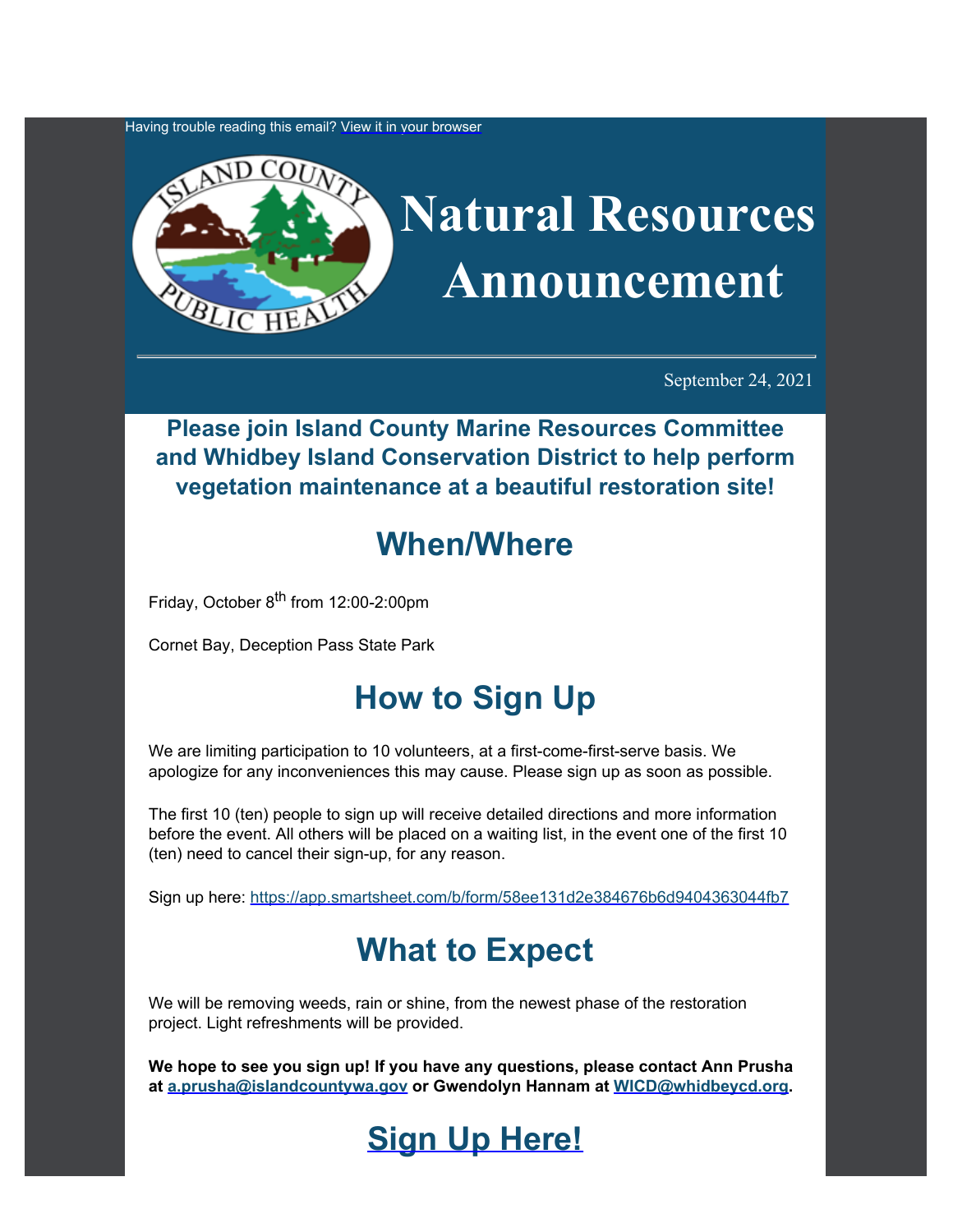Having trouble reading this email? [View](https://content.govdelivery.com/accounts/WACOISLAND/bulletins/2f47c7d) [it in your browser](https://content.govdelivery.com/accounts/WACOISLAND/bulletins/2f47c7d)



September 24, 2021

#### **Please join Island County Marine Resources Committee and Whidbey Island Conservation District to help perform vegetation maintenance at a beautiful restoration site!**

## **When/Where**

Friday, October 8<sup>th</sup> from 12:00-2:00pm

Cornet Bay, Deception Pass State Park

# **How to Sign Up**

We are limiting participation to 10 volunteers, at a first-come-first-serve basis. We apologize for any inconveniences this may cause. Please sign up as soon as possible.

The first 10 (ten) people to sign up will receive detailed directions and more information before the event. All others will be placed on a waiting list, in the event one of the first 10 (ten) need to cancel their sign-up, for any reason.

Sign up here: [https://app.smartsheet.com/b/form/58ee131d2e384676b6d9404363044fb7](https://app.smartsheet.com/b/form/58ee131d2e384676b6d9404363044fb7?utm_content=&utm_medium=email&utm_name=&utm_source=govdelivery&utm_term=)

## **What to Expect**

We will be removing weeds, rain or shine, from the newest phase of the restoration project. Light refreshments will be provided.

**We hope to see you sign up! If you have any questions, please contact Ann Prusha at [a.prusha@islandcountywa.gov](mailto:a.prusha@islandcountywa.gov) or Gwendolyn Hannam at [WICD@whidbeycd.org](mailto:WICD@whidbeycd.org).**

## **[Sign Up Here!](https://app.smartsheet.com/b/form/58ee131d2e384676b6d9404363044fb7?utm_content=&utm_medium=email&utm_name=&utm_source=govdelivery&utm_term=)**